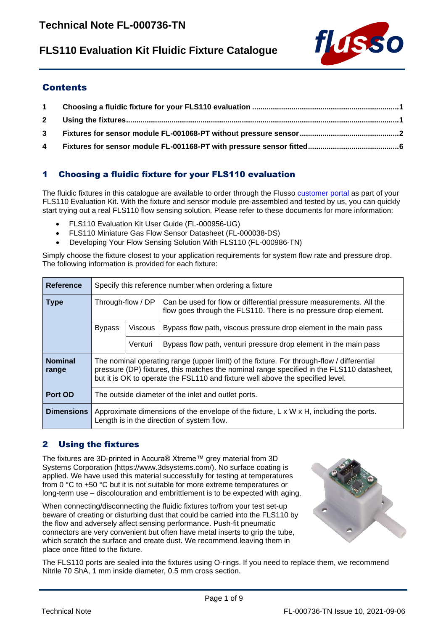# **FLS110 Evaluation Kit Fluidic Fixture Catalogue**



## **Contents**

# <span id="page-0-0"></span>1 Choosing a fluidic fixture for your FLS110 evaluation

The fluidic fixtures in this catalogue are available to order through the Flusso [customer portal](https://www.flussoltd.com/customer-portal) as part of your FLS110 Evaluation Kit. With the fixture and sensor module pre-assembled and tested by us, you can quickly start trying out a real FLS110 flow sensing solution. Please refer to these documents for more information:

- FLS110 Evaluation Kit User Guide (FL-000956-UG)
- FLS110 Miniature Gas Flow Sensor Datasheet (FL-000038-DS)
- Developing Your Flow Sensing Solution With FLS110 (FL-000986-TN)

Simply choose the fixture closest to your application requirements for system flow rate and pressure drop. The following information is provided for each fixture:

| Reference               | Specify this reference number when ordering a fixture                                                                                             |                                                                                                                                                                                                                                                                          |                                                                                                                                         |  |  |  |  |  |  |
|-------------------------|---------------------------------------------------------------------------------------------------------------------------------------------------|--------------------------------------------------------------------------------------------------------------------------------------------------------------------------------------------------------------------------------------------------------------------------|-----------------------------------------------------------------------------------------------------------------------------------------|--|--|--|--|--|--|
| <b>Type</b>             | Through-flow / DP                                                                                                                                 |                                                                                                                                                                                                                                                                          | Can be used for flow or differential pressure measurements. All the<br>flow goes through the FLS110. There is no pressure drop element. |  |  |  |  |  |  |
|                         | <b>Bypass</b>                                                                                                                                     | <b>Viscous</b>                                                                                                                                                                                                                                                           | Bypass flow path, viscous pressure drop element in the main pass                                                                        |  |  |  |  |  |  |
|                         |                                                                                                                                                   | Venturi                                                                                                                                                                                                                                                                  | Bypass flow path, venturi pressure drop element in the main pass                                                                        |  |  |  |  |  |  |
| <b>Nominal</b><br>range |                                                                                                                                                   | The nominal operating range (upper limit) of the fixture. For through-flow / differential<br>pressure (DP) fixtures, this matches the nominal range specified in the FLS110 datasheet,<br>but it is OK to operate the FSL110 and fixture well above the specified level. |                                                                                                                                         |  |  |  |  |  |  |
| Port OD                 | The outside diameter of the inlet and outlet ports.                                                                                               |                                                                                                                                                                                                                                                                          |                                                                                                                                         |  |  |  |  |  |  |
| <b>Dimensions</b>       | Approximate dimensions of the envelope of the fixture, $L \times W \times H$ , including the ports.<br>Length is in the direction of system flow. |                                                                                                                                                                                                                                                                          |                                                                                                                                         |  |  |  |  |  |  |

## <span id="page-0-1"></span>2 Using the fixtures

The fixtures are 3D-printed in Accura® Xtreme™ grey material from 3D Systems Corporation (https://www.3dsystems.com/). No surface coating is applied. We have used this material successfully for testing at temperatures from 0 °C to +50 °C but it is not suitable for more extreme temperatures or long-term use – discolouration and embrittlement is to be expected with aging.

When connecting/disconnecting the fluidic fixtures to/from your test set-up beware of creating or disturbing dust that could be carried into the FLS110 by the flow and adversely affect sensing performance. Push-fit pneumatic connectors are very convenient but often have metal inserts to grip the tube, which scratch the surface and create dust. We recommend leaving them in place once fitted to the fixture.



The FLS110 ports are sealed into the fixtures using O-rings. If you need to replace them, we recommend Nitrile 70 ShA, 1 mm inside diameter, 0.5 mm cross section.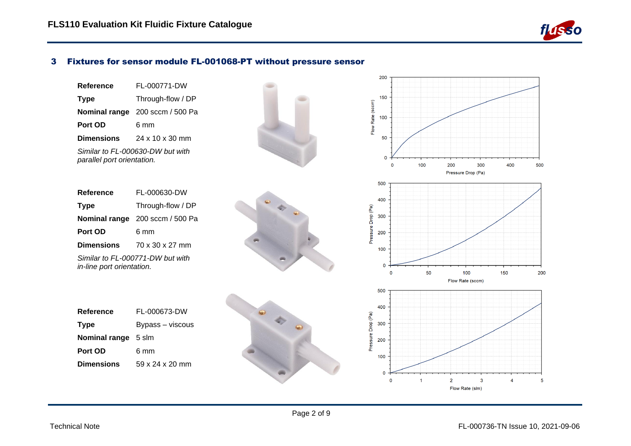

#### 3 Fixtures for sensor module FL-001068-PT without pressure sensor

| Reference                  | FL-000771-DW                           |  |  |  |  |  |
|----------------------------|----------------------------------------|--|--|--|--|--|
| <b>Type</b>                | Through-flow / DP                      |  |  |  |  |  |
|                            | <b>Nominal range</b> 200 sccm / 500 Pa |  |  |  |  |  |
| Port OD                    | ճ mm                                   |  |  |  |  |  |
| <b>Dimensions</b>          | 24 x 10 x 30 mm                        |  |  |  |  |  |
| parallel port orientation. | Similar to FL-000630-DW but with       |  |  |  |  |  |

<span id="page-1-0"></span>

| Reference                                                     | FL-000630-DW                    |  |  |  |  |  |  |
|---------------------------------------------------------------|---------------------------------|--|--|--|--|--|--|
| <b>Type</b>                                                   | Through-flow / DP               |  |  |  |  |  |  |
|                                                               | Nominal range 200 sccm / 500 Pa |  |  |  |  |  |  |
| Port OD                                                       | ճ mm                            |  |  |  |  |  |  |
| <b>Dimensions</b>                                             | 70 x 30 x 27 mm                 |  |  |  |  |  |  |
| Similar to FL-000771-DW but with<br>in-line port orientation. |                                 |  |  |  |  |  |  |

| Reference                  | FL-000673-DW     |  |  |  |  |  |
|----------------------------|------------------|--|--|--|--|--|
| <b>Type</b>                | Bypass – viscous |  |  |  |  |  |
| <b>Nominal range</b> 5 slm |                  |  |  |  |  |  |
| Port OD                    | 6 mm             |  |  |  |  |  |
| <b>Dimensions</b>          | 59 x 24 x 20 mm  |  |  |  |  |  |

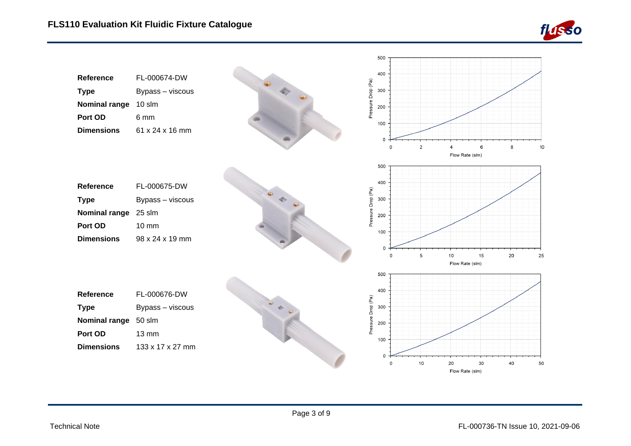

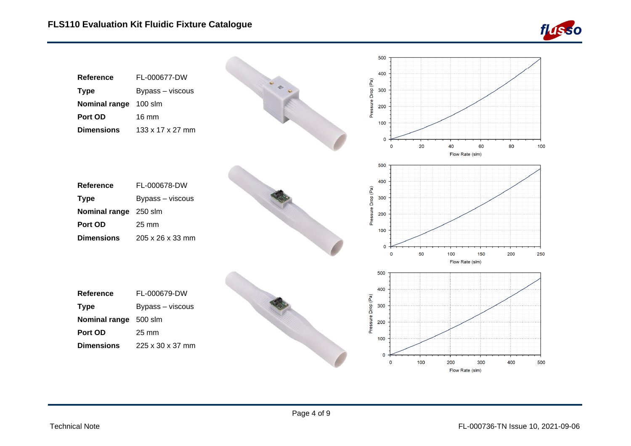

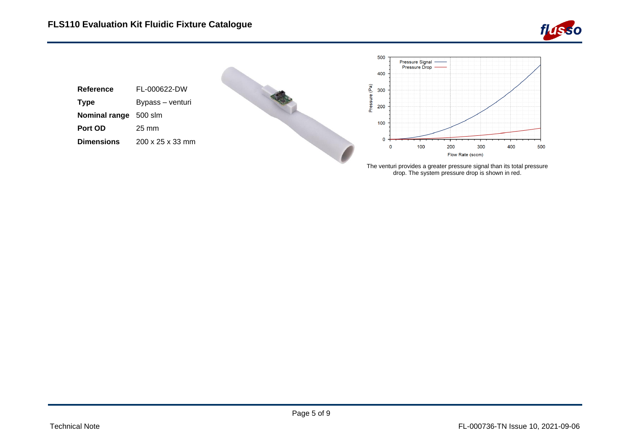



drop. The system pressure drop is shown in red.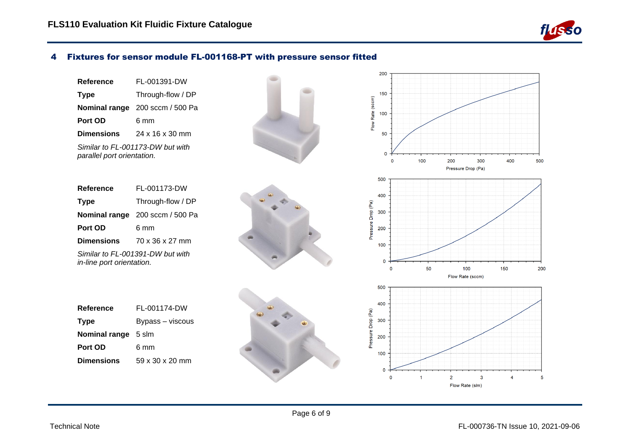

#### 4 Fixtures for sensor module FL-001168-PT with pressure sensor fitted

| Reference                                                      | FL-001391-DW                           |  |  |  |  |
|----------------------------------------------------------------|----------------------------------------|--|--|--|--|
| <b>Type</b>                                                    | Through-flow / DP                      |  |  |  |  |
|                                                                | <b>Nominal range</b> 200 sccm / 500 Pa |  |  |  |  |
| Port OD                                                        | ճ mm                                   |  |  |  |  |
| <b>Dimensions</b>                                              | $24 \times 16 \times 30$ mm            |  |  |  |  |
| Similar to FL-001173-DW but with<br>parallel port orientation. |                                        |  |  |  |  |

<span id="page-5-0"></span>

| Reference                 | FL-001173-DW                           |  |  |  |  |  |
|---------------------------|----------------------------------------|--|--|--|--|--|
| <b>Type</b>               | Through-flow / DP                      |  |  |  |  |  |
|                           | <b>Nominal range</b> 200 sccm / 500 Pa |  |  |  |  |  |
| Port OD                   | ճ mm                                   |  |  |  |  |  |
| <b>Dimensions</b>         | 70 x 36 x 27 mm                        |  |  |  |  |  |
| in-line port orientation. | Similar to FL-001391-DW but with       |  |  |  |  |  |

| Reference         | FL-001174-DW     |  |  |  |  |  |  |
|-------------------|------------------|--|--|--|--|--|--|
| <b>Type</b>       | Bypass – viscous |  |  |  |  |  |  |
| Nominal range     | 5 slm            |  |  |  |  |  |  |
| Port OD           | 6 mm             |  |  |  |  |  |  |
| <b>Dimensions</b> | 59 x 30 x 20 mm  |  |  |  |  |  |  |

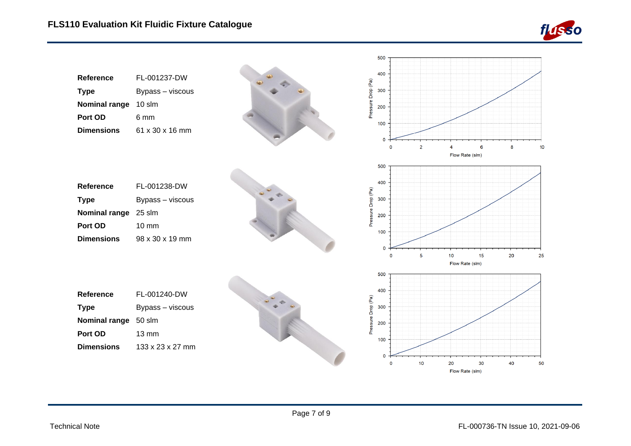

|                                                                                  |                                                              |  |                    | 500                                                           |                |                       |    |    |    |
|----------------------------------------------------------------------------------|--------------------------------------------------------------|--|--------------------|---------------------------------------------------------------|----------------|-----------------------|----|----|----|
| Reference<br><b>Type</b><br>Nominal range 10 slm<br>Port OD<br><b>Dimensions</b> | FL-001237-DW<br>Bypass - viscous<br>6 mm<br>61 x 30 x 16 mm  |  | Pressure Drop (Pa) | 400<br>300<br>200<br>100<br>$\mathbf 0$<br>$\mathbf 0$        | $\overline{2}$ |                       | 6  | 8  | 10 |
|                                                                                  |                                                              |  |                    |                                                               |                | Flow Rate (slm)       |    |    |    |
| Reference<br><b>Type</b><br>Nominal range 25 slm<br>Port OD<br><b>Dimensions</b> | FL-001238-DW<br>Bypass - viscous<br>10 mm<br>98 x 30 x 19 mm |  | Pressure Drop (Pa) | 500<br>400<br>300<br>200<br>100<br>$\mathbf 0$<br>$\mathbf 0$ | 5              | 10                    | 15 | 20 | 25 |
| Reference                                                                        | FL-001240-DW                                                 |  |                    | 500<br>400                                                    |                | Flow Rate (slm)       |    |    |    |
| <b>Type</b>                                                                      | Bypass - viscous                                             |  |                    | 300                                                           |                |                       |    |    |    |
| <b>Nominal range</b>                                                             | 50 slm                                                       |  | Pressure Drop (Pa) | 200                                                           |                |                       |    |    |    |
| Port OD                                                                          | 13 mm                                                        |  |                    |                                                               |                |                       |    |    |    |
| <b>Dimensions</b>                                                                | 133 x 23 x 27 mm                                             |  |                    | 100<br>$\mathbf 0$                                            |                |                       |    |    |    |
|                                                                                  |                                                              |  |                    | $\mathbf 0$                                                   | 10             | 20<br>Flow Rate (slm) | 30 | 40 | 50 |

Page 7 of 9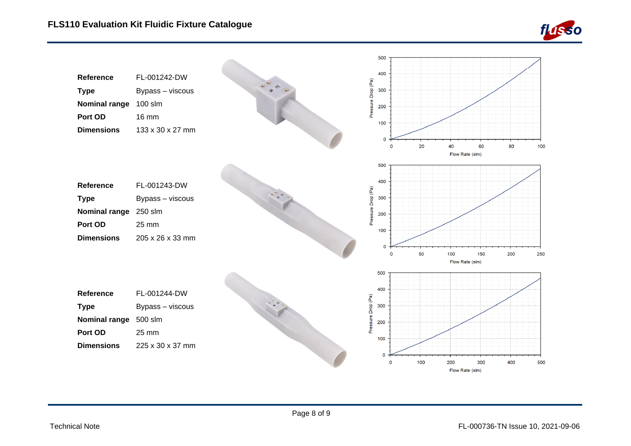